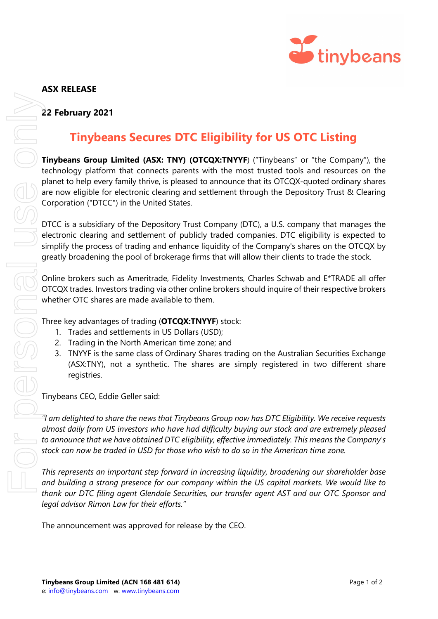

## **ASX RELEASE**

## **22 February 2021**

## **Tinybeans Secures DTC Eligibility for US OTC Listing**

**Tinybeans Group Limited (ASX: TNY) (OTCQX:TNYYF)** ("Tinybeans" or "the Company"), the technology platform that connects parents with the most trusted tools and resources on the planet to help every family thrive, is pleased to announce that its OTCQX-quoted ordinary shares are now eligible for electronic clearing and settlement through the Depository Trust & Clearing Corporation ("DTCC") in the United States.

DTCC is a subsidiary of the Depository Trust Company (DTC), a U.S. company that manages the electronic clearing and settlement of publicly traded companies. DTC eligibility is expected to simplify the process of trading and enhance liquidity of the Company's shares on the OTCQX by greatly broadening the pool of brokerage firms that will allow their clients to trade the stock.

Online brokers such as Ameritrade, Fidelity Investments, Charles Schwab and E\*TRADE all offer OTCQX trades. Investors trading via other online brokers should inquire of their respective brokers whether OTC shares are made available to them.

Three key advantages of trading (**OTCQX:TNYYF**) stock:

- 1. Trades and settlements in US Dollars (USD);
- 2. Trading in the North American time zone; and
- 3. TNYYF is the same class of Ordinary Shares trading on the Australian Securities Exchange (ASX:TNY), not a synthetic. The shares are simply registered in two different share registries.

Tinybeans CEO, Eddie Geller said:

*"I am delighted to share the news that Tinybeans Group now has DTC Eligibility. We receive requests almost daily from US investors who have had difficulty buying our stock and are extremely pleased to announce that we have obtained DTC eligibility, effective immediately. This means the Company's stock can now be traded in USD for those who wish to do so in the American time zone.* 

*This represents an important step forward in increasing liquidity, broadening our shareholder base and building a strong presence for our company within the US capital markets. We would like to thank our DTC filing agent Glendale Securities, our transfer agent AST and our OTC Sponsor and legal advisor Rimon Law for their efforts."*